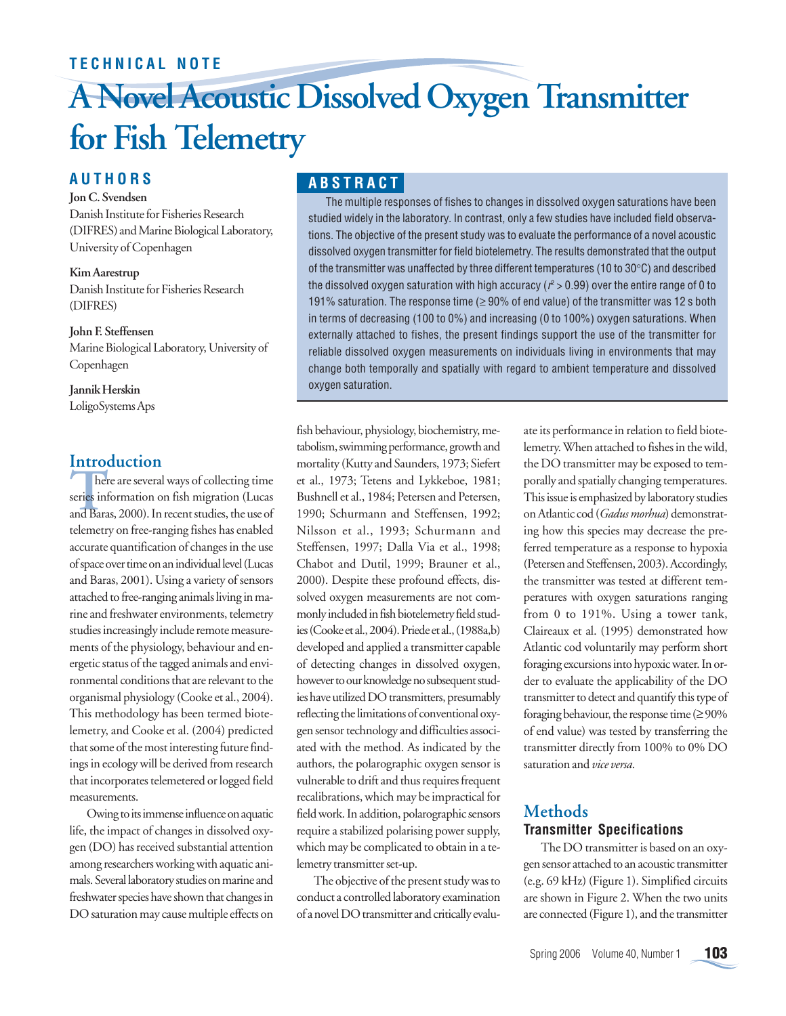# **TECHNICAL NOTE**

# **A Novel Acoustic Dissolved Oxygen Transmitter for Fish Telemetry**

# **AUTHORS**

## **Jon C. Svendsen**

Danish Institute for Fisheries Research (DIFRES) and Marine Biological Laboratory, University of Copenhagen

**Kim Aarestrup** Danish Institute for Fisheries Research (DIFRES)

**John F. Steffensen** Marine Biological Laboratory, University of Copenhagen

**Jannik Herskin** LoligoSystems Aps

# **Introduction**

**There**<br>series int<br>and Bara here are several ways of collecting time series information on fish migration (Lucas and Baras, 2000). In recent studies, the use of telemetry on free-ranging fishes has enabled accurate quantification of changes in the use of space over time on an individual level (Lucas and Baras, 2001). Using a variety of sensors attached to free-ranging animals living in marine and freshwater environments, telemetry studies increasingly include remote measurements of the physiology, behaviour and energetic status of the tagged animals and environmental conditions that are relevant to the organismal physiology (Cooke et al., 2004). This methodology has been termed biotelemetry, and Cooke et al. (2004) predicted that some of the most interesting future findings in ecology will be derived from research that incorporates telemetered or logged field measurements.

Owing to its immense influence on aquatic life, the impact of changes in dissolved oxygen (DO) has received substantial attention among researchers working with aquatic animals. Several laboratory studies on marine and freshwater species have shown that changes in DO saturation may cause multiple effects on

# **ABSTRACT**

The multiple responses of fishes to changes in dissolved oxygen saturations have been studied widely in the laboratory. In contrast, only a few studies have included field observations. The objective of the present study was to evaluate the performance of a novel acoustic dissolved oxygen transmitter for field biotelemetry. The results demonstrated that the output of the transmitter was unaffected by three different temperatures (10 to 30°C) and described the dissolved oxygen saturation with high accuracy ( $\mathit{r}^{\textrm{2}}$  > 0.99) over the entire range of 0 to 191% saturation. The response time ( $\geq$  90% of end value) of the transmitter was 12 s both in terms of decreasing (100 to 0%) and increasing (0 to 100%) oxygen saturations. When externally attached to fishes, the present findings support the use of the transmitter for reliable dissolved oxygen measurements on individuals living in environments that may change both temporally and spatially with regard to ambient temperature and dissolved oxygen saturation.

fish behaviour, physiology, biochemistry, metabolism, swimming performance, growth and mortality (Kutty and Saunders, 1973; Siefert et al., 1973; Tetens and Lykkeboe, 1981; Bushnell et al., 1984; Petersen and Petersen, 1990; Schurmann and Steffensen, 1992; Nilsson et al., 1993; Schurmann and Steffensen, 1997; Dalla Via et al., 1998; Chabot and Dutil, 1999; Brauner et al., 2000). Despite these profound effects, dissolved oxygen measurements are not commonly included in fish biotelemetry field studies (Cooke et al., 2004). Priede et al., (1988a,b) developed and applied a transmitter capable of detecting changes in dissolved oxygen, however to our knowledge no subsequent studies have utilized DO transmitters, presumably reflecting the limitations of conventional oxygen sensor technology and difficulties associated with the method. As indicated by the authors, the polarographic oxygen sensor is vulnerable to drift and thus requires frequent recalibrations, which may be impractical for field work. In addition, polarographic sensors require a stabilized polarising power supply, which may be complicated to obtain in a telemetry transmitter set-up.

The objective of the present study was to conduct a controlled laboratory examination of a novel DO transmitter and critically evaluate its performance in relation to field biotelemetry. When attached to fishes in the wild, the DO transmitter may be exposed to temporally and spatially changing temperatures. This issue is emphasized by laboratory studies on Atlantic cod (*Gadus morhua*) demonstrating how this species may decrease the preferred temperature as a response to hypoxia (Petersen and Steffensen, 2003). Accordingly, the transmitter was tested at different temperatures with oxygen saturations ranging from 0 to 191%. Using a tower tank, Claireaux et al. (1995) demonstrated how Atlantic cod voluntarily may perform short foraging excursions into hypoxic water. In order to evaluate the applicability of the DO transmitter to detect and quantify this type of foraging behaviour, the response time  $(≥90%$ of end value) was tested by transferring the transmitter directly from 100% to 0% DO saturation and *vice versa*.

## **Methods Transmitter Specifications**

The DO transmitter is based on an oxygen sensor attached to an acoustic transmitter (e.g. 69 kHz) (Figure 1). Simplified circuits are shown in Figure 2. When the two units are connected (Figure 1), and the transmitter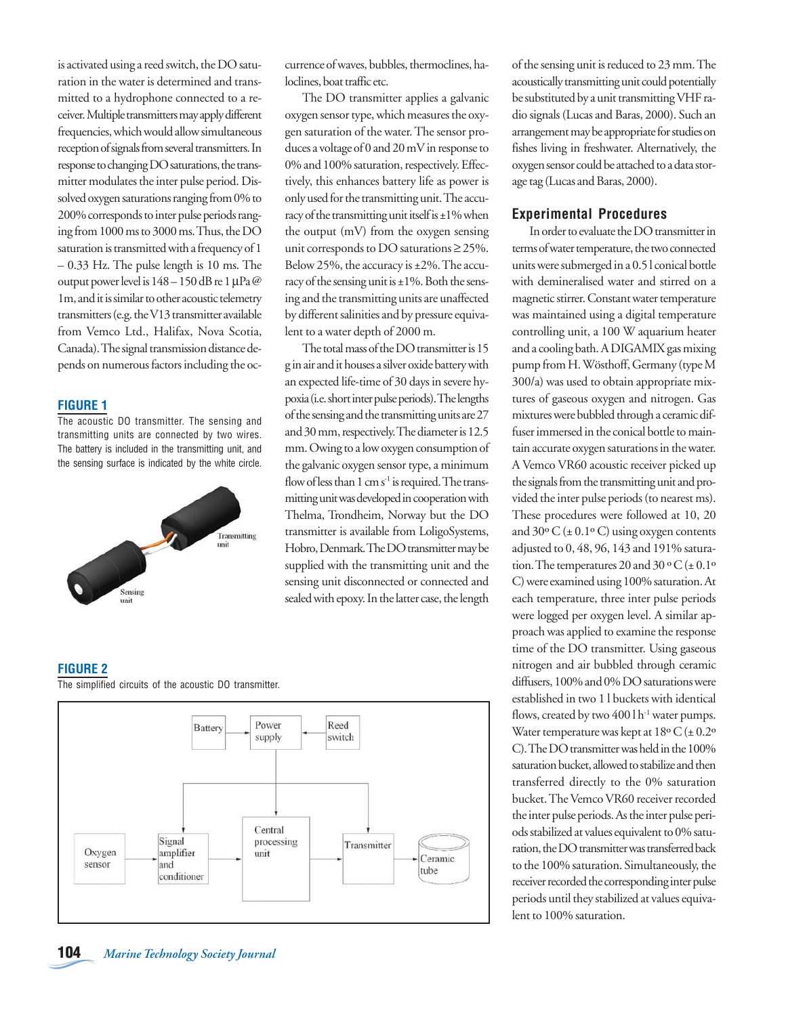is activated using a reed switch, the DO saturation in the water is determined and transmitted to a hydrophone connected to a receiver. Multiple transmitters may apply different frequencies, which would allow simultaneous reception of signals from several transmitters. In response to changing DO saturations, the transmitter modulates the inter pulse period. Dissolved oxygen saturations ranging from 0% to 200% corresponds to inter pulse periods ranging from 1000 ms to 3000 ms. Thus, the DO saturation is transmitted with a frequency of 1 – 0.33 Hz. The pulse length is 10 ms. The output power level is 148 – 150 dB re 1 µPa @ 1m, and it is similar to other acoustic telemetry transmitters (e.g. the V13 transmitter available from Vemco Ltd., Halifax, Nova Scotia, Canada). The signal transmission distance depends on numerous factors including the oc-

#### **FIGURE 1**

The acoustic DO transmitter. The sensing and transmitting units are connected by two wires. The battery is included in the transmitting unit, and the sensing surface is indicated by the white circle.



currence of waves, bubbles, thermoclines, haloclines, boat traffic etc.

The DO transmitter applies a galvanic oxygen sensor type, which measures the oxygen saturation of the water. The sensor produces a voltage of 0 and 20 mV in response to 0% and 100% saturation, respectively. Effectively, this enhances battery life as power is only used for the transmitting unit. The accuracy of the transmitting unit itself is  $\pm 1\%$  when the output (mV) from the oxygen sensing unit corresponds to DO saturations  $\geq$  25%. Below 25%, the accuracy is ±2%. The accuracy of the sensing unit is  $\pm 1\%$ . Both the sensing and the transmitting units are unaffected by different salinities and by pressure equivalent to a water depth of 2000 m.

The total mass of the DO transmitter is 15 g in air and it houses a silver oxide battery with an expected life-time of 30 days in severe hypoxia (i.e. short inter pulse periods). The lengths of the sensing and the transmitting units are 27 and 30 mm, respectively. The diameter is 12.5 mm. Owing to a low oxygen consumption of the galvanic oxygen sensor type, a minimum flow of less than  $1 \text{ cm s}^{-1}$  is required. The transmitting unit was developed in cooperation with Thelma, Trondheim, Norway but the DO transmitter is available from LoligoSystems, Hobro, Denmark. The DO transmitter may be supplied with the transmitting unit and the sensing unit disconnected or connected and sealed with epoxy. In the latter case, the length

## **FIGURE 2**

The simplified circuits of the acoustic DO transmitter.



of the sensing unit is reduced to 23 mm. The acoustically transmitting unit could potentially be substituted by a unit transmitting VHF radio signals (Lucas and Baras, 2000). Such an arrangement may be appropriate for studies on fishes living in freshwater. Alternatively, the oxygen sensor could be attached to a data storage tag (Lucas and Baras, 2000).

### **Experimental Procedures**

In order to evaluate the DO transmitter in terms of water temperature, the two connected units were submerged in a 0.5 l conical bottle with demineralised water and stirred on a magnetic stirrer. Constant water temperature was maintained using a digital temperature controlling unit, a 100 W aquarium heater and a cooling bath. A DIGAMIX gas mixing pump from H. Wösthoff, Germany (type M 300/a) was used to obtain appropriate mixtures of gaseous oxygen and nitrogen. Gas mixtures were bubbled through a ceramic diffuser immersed in the conical bottle to maintain accurate oxygen saturations in the water. A Vemco VR60 acoustic receiver picked up the signals from the transmitting unit and provided the inter pulse periods (to nearest ms). These procedures were followed at 10, 20 and  $30^{\circ}$  C ( $\pm$  0.1°C) using oxygen contents adjusted to 0, 48, 96, 143 and 191% saturation. The temperatures 20 and 30 ° C ( $\pm$  0.1° C) were examined using 100% saturation. At each temperature, three inter pulse periods were logged per oxygen level. A similar approach was applied to examine the response time of the DO transmitter. Using gaseous nitrogen and air bubbled through ceramic diffusers, 100% and 0% DO saturations were established in two 1 l buckets with identical flows, created by two  $400$  l h<sup>-1</sup> water pumps. Water temperature was kept at  $18^{\circ}$  C ( $\pm$  0.2° C). The DO transmitter was held in the 100% saturation bucket, allowed to stabilize and then transferred directly to the 0% saturation bucket. The Vemco VR60 receiver recorded the inter pulse periods. As the inter pulse periods stabilized at values equivalent to 0% saturation, the DO transmitter was transferred back to the 100% saturation. Simultaneously, the receiver recorded the corresponding inter pulse periods until they stabilized at values equivalent to 100% saturation.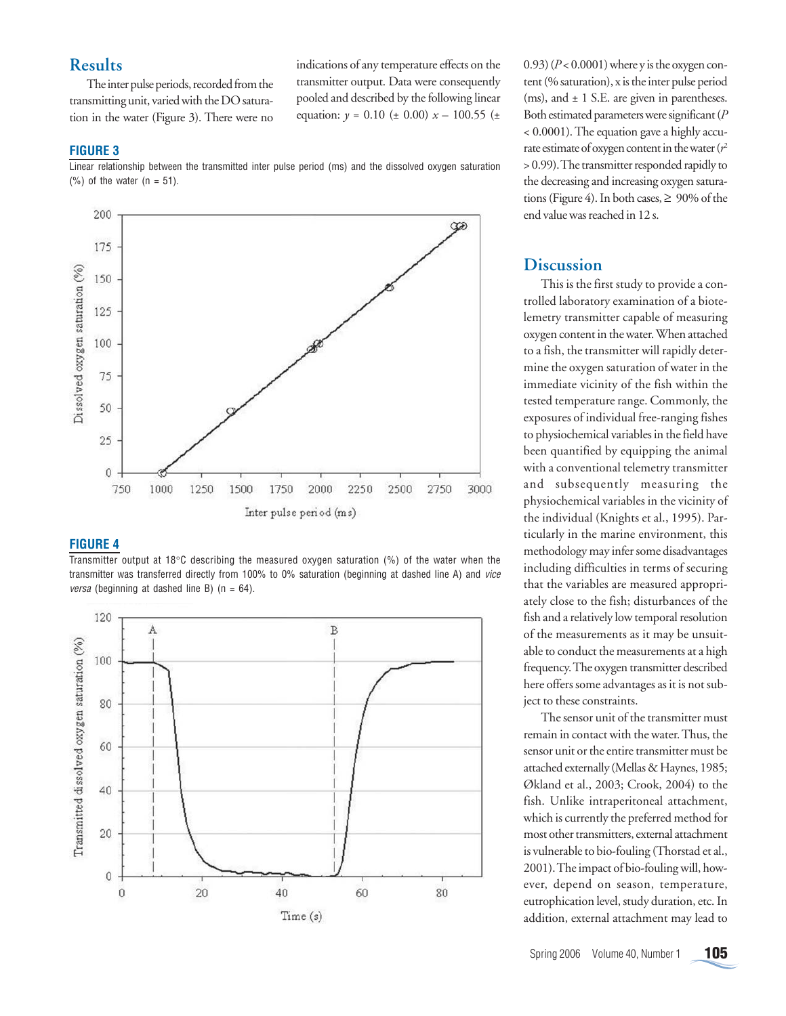## **Results**

The inter pulse periods, recorded from the transmitting unit, varied with the DO saturation in the water (Figure 3). There were no indications of any temperature effects on the transmitter output. Data were consequently pooled and described by the following linear equation:  $y = 0.10$  ( $\pm$  0.00)  $x - 100.55$  ( $\pm$ 

### **FIGURE 3**

Linear relationship between the transmitted inter pulse period (ms) and the dissolved oxygen saturation  $(%)$  of the water  $(n = 51)$ .



#### **FIGURE 4**

Transmitter output at 18°C describing the measured oxygen saturation (%) of the water when the transmitter was transferred directly from 100% to 0% saturation (beginning at dashed line A) and vice *versa* (beginning at dashed line B) ( $n = 64$ ).



0.93) (*P* < 0.0001) where y is the oxygen content (% saturation), x is the inter pulse period (ms), and  $\pm$  1 S.E. are given in parentheses. Both estimated parameters were significant (*P* < 0.0001). The equation gave a highly accurate estimate of oxygen content in the water  $(r^2)$ > 0.99). The transmitter responded rapidly to the decreasing and increasing oxygen saturations (Figure 4). In both cases,  $\geq 90\%$  of the end value was reached in 12 s.

## **Discussion**

This is the first study to provide a controlled laboratory examination of a biotelemetry transmitter capable of measuring oxygen content in the water. When attached to a fish, the transmitter will rapidly determine the oxygen saturation of water in the immediate vicinity of the fish within the tested temperature range. Commonly, the exposures of individual free-ranging fishes to physiochemical variables in the field have been quantified by equipping the animal with a conventional telemetry transmitter and subsequently measuring the physiochemical variables in the vicinity of the individual (Knights et al., 1995). Particularly in the marine environment, this methodology may infer some disadvantages including difficulties in terms of securing that the variables are measured appropriately close to the fish; disturbances of the fish and a relatively low temporal resolution of the measurements as it may be unsuitable to conduct the measurements at a high frequency. The oxygen transmitter described here offers some advantages as it is not subject to these constraints.

The sensor unit of the transmitter must remain in contact with the water. Thus, the sensor unit or the entire transmitter must be attached externally (Mellas & Haynes, 1985; Økland et al., 2003; Crook, 2004) to the fish. Unlike intraperitoneal attachment, which is currently the preferred method for most other transmitters, external attachment is vulnerable to bio-fouling (Thorstad et al., 2001). The impact of bio-fouling will, however, depend on season, temperature, eutrophication level, study duration, etc. In addition, external attachment may lead to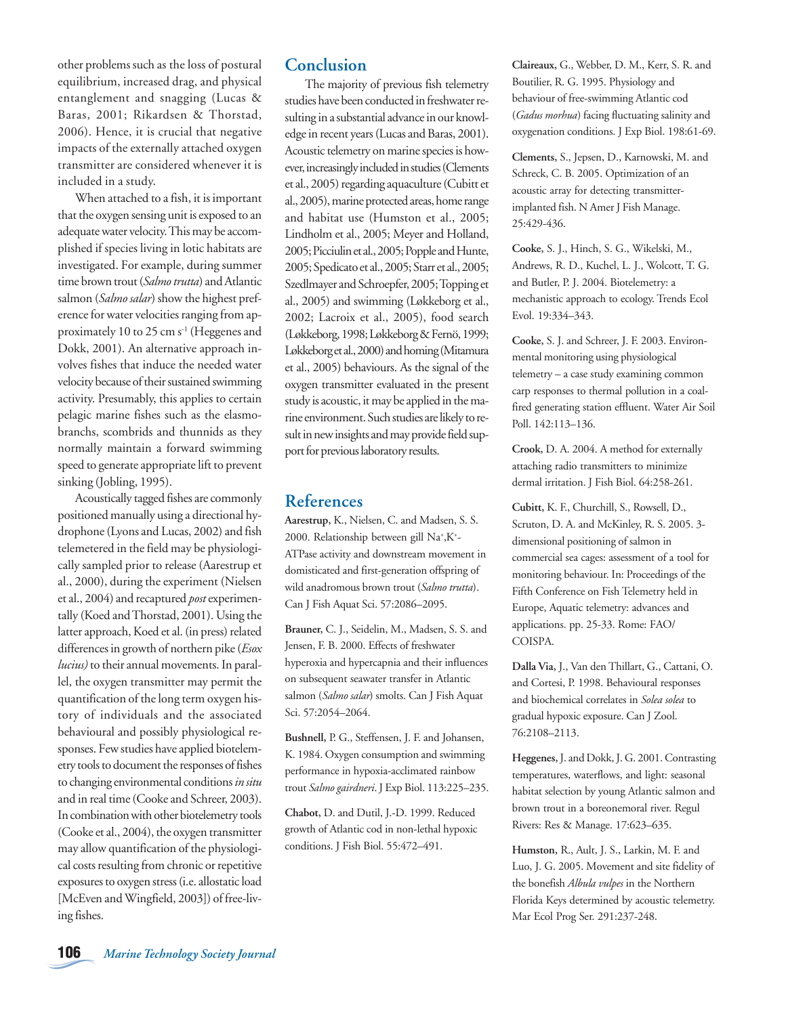other problems such as the loss of postural equilibrium, increased drag, and physical entanglement and snagging (Lucas & Baras, 2001; Rikardsen & Thorstad, 2006). Hence, it is crucial that negative impacts of the externally attached oxygen transmitter are considered whenever it is included in a study.

When attached to a fish, it is important that the oxygen sensing unit is exposed to an adequate water velocity. This may be accomplished if species living in lotic habitats are investigated. For example, during summer time brown trout (*Salmo trutta*) and Atlantic salmon (*Salmo salar*) show the highest preference for water velocities ranging from approximately 10 to 25 cm s<sup>-1</sup> (Heggenes and Dokk, 2001). An alternative approach involves fishes that induce the needed water velocity because of their sustained swimming activity. Presumably, this applies to certain pelagic marine fishes such as the elasmobranchs, scombrids and thunnids as they normally maintain a forward swimming speed to generate appropriate lift to prevent sinking (Jobling, 1995).

Acoustically tagged fishes are commonly positioned manually using a directional hydrophone (Lyons and Lucas, 2002) and fish telemetered in the field may be physiologically sampled prior to release (Aarestrup et al., 2000), during the experiment (Nielsen et al., 2004) and recaptured *post* experimentally (Koed and Thorstad, 2001). Using the latter approach, Koed et al. (in press) related differences in growth of northern pike (*Esox lucius)* to their annual movements. In parallel, the oxygen transmitter may permit the quantification of the long term oxygen history of individuals and the associated behavioural and possibly physiological responses. Few studies have applied biotelemetry tools to document the responses of fishes to changing environmental conditions *in situ* and in real time (Cooke and Schreer, 2003). In combination with other biotelemetry tools (Cooke et al., 2004), the oxygen transmitter may allow quantification of the physiological costs resulting from chronic or repetitive exposures to oxygen stress (i.e. allostatic load [McEven and Wingfield, 2003]) of free-living fishes.

## **Conclusion**

 The majority of previous fish telemetry studies have been conducted in freshwater resulting in a substantial advance in our knowledge in recent years (Lucas and Baras, 2001). Acoustic telemetry on marine species is however, increasingly included in studies (Clements et al., 2005) regarding aquaculture (Cubitt et al., 2005), marine protected areas, home range and habitat use (Humston et al., 2005; Lindholm et al., 2005; Meyer and Holland, 2005; Picciulin et al., 2005; Popple and Hunte, 2005; Spedicato et al., 2005; Starr et al., 2005; Szedlmayer and Schroepfer, 2005; Topping et al., 2005) and swimming (Løkkeborg et al., 2002; Lacroix et al., 2005), food search (Løkkeborg, 1998; Løkkeborg & Fernö, 1999; Løkkeborg et al., 2000) and homing (Mitamura et al., 2005) behaviours. As the signal of the oxygen transmitter evaluated in the present study is acoustic, it may be applied in the marine environment. Such studies are likely to result in new insights and may provide field support for previous laboratory results.

## **References**

**Aarestrup,** K., Nielsen, C. and Madsen, S. S. 2000. Relationship between gill Na+ ,K+ - ATPase activity and downstream movement in domisticated and first-generation offspring of wild anadromous brown trout (*Salmo trutta*). Can J Fish Aquat Sci. 57:2086–2095.

**Brauner,** C. J., Seidelin, M., Madsen, S. S. and Jensen, F. B. 2000. Effects of freshwater hyperoxia and hypercapnia and their influences on subsequent seawater transfer in Atlantic salmon (*Salmo salar*) smolts. Can J Fish Aquat Sci. 57:2054–2064.

**Bushnell,** P. G., Steffensen, J. F. and Johansen, K. 1984. Oxygen consumption and swimming performance in hypoxia-acclimated rainbow trout *Salmo gairdneri*. J Exp Biol. 113:225–235.

**Chabot,** D. and Dutil, J.-D. 1999. Reduced growth of Atlantic cod in non-lethal hypoxic conditions. J Fish Biol. 55:472–491.

**Claireaux,** G., Webber, D. M., Kerr, S. R. and Boutilier, R. G. 1995. Physiology and behaviour of free-swimming Atlantic cod (*Gadus morhua*) facing fluctuating salinity and oxygenation conditions. J Exp Biol. 198:61-69.

**Clements,** S., Jepsen, D., Karnowski, M. and Schreck, C. B. 2005. Optimization of an acoustic array for detecting transmitterimplanted fish. N Amer J Fish Manage. 25:429-436.

**Cooke,** S. J., Hinch, S. G., Wikelski, M., Andrews, R. D., Kuchel, L. J., Wolcott, T. G. and Butler, P. J. 2004. Biotelemetry: a mechanistic approach to ecology. Trends Ecol Evol. 19:334–343.

**Cooke,** S. J. and Schreer, J. F. 2003. Environmental monitoring using physiological telemetry – a case study examining common carp responses to thermal pollution in a coalfired generating station effluent. Water Air Soil Poll. 142:113–136.

**Crook,** D. A. 2004. A method for externally attaching radio transmitters to minimize dermal irritation. J Fish Biol. 64:258-261.

**Cubitt,** K. F., Churchill, S., Rowsell, D., Scruton, D. A. and McKinley, R. S. 2005. 3 dimensional positioning of salmon in commercial sea cages: assessment of a tool for monitoring behaviour. In: Proceedings of the Fifth Conference on Fish Telemetry held in Europe, Aquatic telemetry: advances and applications. pp. 25-33. Rome: FAO/ COISPA.

**Dalla Via,** J., Van den Thillart, G., Cattani, O. and Cortesi, P. 1998. Behavioural responses and biochemical correlates in *Solea solea* to gradual hypoxic exposure. Can J Zool. 76:2108–2113.

**Heggenes,** J. and Dokk, J. G. 2001. Contrasting temperatures, waterflows, and light: seasonal habitat selection by young Atlantic salmon and brown trout in a boreonemoral river. Regul Rivers: Res & Manage. 17:623–635.

**Humston,** R., Ault, J. S., Larkin, M. F. and Luo, J. G. 2005. Movement and site fidelity of the bonefish *Albula vulpes* in the Northern Florida Keys determined by acoustic telemetry. Mar Ecol Prog Ser. 291:237-248.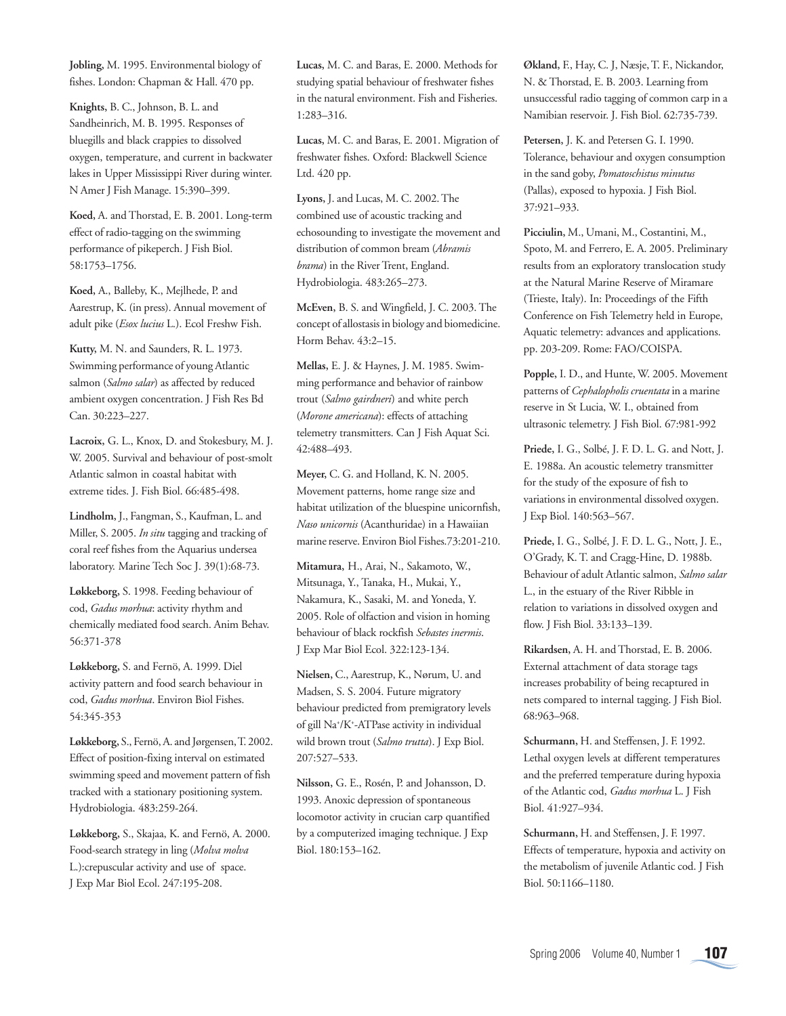**Jobling,** M. 1995. Environmental biology of fishes. London: Chapman & Hall. 470 pp.

**Knights,** B. C., Johnson, B. L. and Sandheinrich, M. B. 1995. Responses of bluegills and black crappies to dissolved oxygen, temperature, and current in backwater lakes in Upper Mississippi River during winter. N Amer J Fish Manage. 15:390–399.

**Koed,** A. and Thorstad, E. B. 2001. Long-term effect of radio-tagging on the swimming performance of pikeperch. J Fish Biol. 58:1753–1756.

**Koed,** A., Balleby, K., Mejlhede, P. and Aarestrup, K. (in press). Annual movement of adult pike (*Esox lucius* L.). Ecol Freshw Fish.

**Kutty,** M. N. and Saunders, R. L. 1973. Swimming performance of young Atlantic salmon (*Salmo salar*) as affected by reduced ambient oxygen concentration. J Fish Res Bd Can. 30:223–227.

**Lacroix,** G. L., Knox, D. and Stokesbury, M. J. W. 2005. Survival and behaviour of post-smolt Atlantic salmon in coastal habitat with extreme tides. J. Fish Biol. 66:485-498.

**Lindholm,** J., Fangman, S., Kaufman, L. and Miller, S. 2005. *In situ* tagging and tracking of coral reef fishes from the Aquarius undersea laboratory. Marine Tech Soc J. 39(1):68-73.

**Løkkeborg,** S. 1998. Feeding behaviour of cod, *Gadus morhua*: activity rhythm and chemically mediated food search. Anim Behav. 56:371-378

**Løkkeborg,** S. and Fernö, A. 1999. Diel activity pattern and food search behaviour in cod, *Gadus morhua*. Environ Biol Fishes. 54:345-353

**Løkkeborg,** S., Fernö, A. and Jørgensen, T. 2002. Effect of position-fixing interval on estimated swimming speed and movement pattern of fish tracked with a stationary positioning system. Hydrobiologia. 483:259-264.

**Løkkeborg,** S., Skajaa, K. and Fernö, A. 2000. Food-search strategy in ling (*Molva molva* L.):crepuscular activity and use of space. J Exp Mar Biol Ecol. 247:195-208.

**Lucas,** M. C. and Baras, E. 2000. Methods for studying spatial behaviour of freshwater fishes in the natural environment. Fish and Fisheries. 1:283–316.

**Lucas,** M. C. and Baras, E. 2001. Migration of freshwater fishes. Oxford: Blackwell Science Ltd. 420 pp.

**Lyons,** J. and Lucas, M. C. 2002. The combined use of acoustic tracking and echosounding to investigate the movement and distribution of common bream (*Abramis brama*) in the River Trent, England. Hydrobiologia. 483:265–273.

**McEven,** B. S. and Wingfield, J. C. 2003. The concept of allostasis in biology and biomedicine. Horm Behav. 43:2–15.

**Mellas,** E. J. & Haynes, J. M. 1985. Swimming performance and behavior of rainbow trout (*Salmo gairdneri*) and white perch (*Morone americana*): effects of attaching telemetry transmitters. Can J Fish Aquat Sci. 42:488–493.

**Meyer,** C. G. and Holland, K. N. 2005. Movement patterns, home range size and habitat utilization of the bluespine unicornfish, *Naso unicornis* (Acanthuridae) in a Hawaiian marine reserve. Environ Biol Fishes.73:201-210.

**Mitamura,** H., Arai, N., Sakamoto, W., Mitsunaga, Y., Tanaka, H., Mukai, Y., Nakamura, K., Sasaki, M. and Yoneda, Y. 2005. Role of olfaction and vision in homing behaviour of black rockfish *Sebastes inermis*. J Exp Mar Biol Ecol. 322:123-134.

**Nielsen,** C., Aarestrup, K., Nørum, U. and Madsen, S. S. 2004. Future migratory behaviour predicted from premigratory levels of gill Na+ /K+ -ATPase activity in individual wild brown trout (*Salmo trutta*). J Exp Biol. 207:527–533.

**Nilsson,** G. E., Rosén, P. and Johansson, D. 1993. Anoxic depression of spontaneous locomotor activity in crucian carp quantified by a computerized imaging technique. J Exp Biol. 180:153–162.

**Økland,** F., Hay, C. J, Næsje, T. F., Nickandor, N. & Thorstad, E. B. 2003. Learning from unsuccessful radio tagging of common carp in a Namibian reservoir. J. Fish Biol. 62:735-739.

**Petersen,** J. K. and Petersen G. I. 1990. Tolerance, behaviour and oxygen consumption in the sand goby, *Pomatoschistus minutus* (Pallas), exposed to hypoxia. J Fish Biol. 37:921–933.

**Picciulin,** M., Umani, M., Costantini, M., Spoto, M. and Ferrero, E. A. 2005. Preliminary results from an exploratory translocation study at the Natural Marine Reserve of Miramare (Trieste, Italy). In: Proceedings of the Fifth Conference on Fish Telemetry held in Europe, Aquatic telemetry: advances and applications. pp. 203-209. Rome: FAO/COISPA.

**Popple,** I. D., and Hunte, W. 2005. Movement patterns of *Cephalopholis cruentata* in a marine reserve in St Lucia, W. I., obtained from ultrasonic telemetry. J Fish Biol. 67:981-992

**Priede,** I. G., Solbé, J. F. D. L. G. and Nott, J. E. 1988a. An acoustic telemetry transmitter for the study of the exposure of fish to variations in environmental dissolved oxygen. J Exp Biol. 140:563–567.

**Priede,** I. G., Solbé, J. F. D. L. G., Nott, J. E., O'Grady, K. T. and Cragg-Hine, D. 1988b. Behaviour of adult Atlantic salmon, *Salmo salar* L., in the estuary of the River Ribble in relation to variations in dissolved oxygen and flow. J Fish Biol. 33:133–139.

**Rikardsen,** A. H. and Thorstad, E. B. 2006. External attachment of data storage tags increases probability of being recaptured in nets compared to internal tagging. J Fish Biol. 68:963–968.

**Schurmann,** H. and Steffensen, J. F. 1992. Lethal oxygen levels at different temperatures and the preferred temperature during hypoxia of the Atlantic cod, *Gadus morhua* L. J Fish Biol. 41:927–934.

**Schurmann,** H. and Steffensen, J. F. 1997. Effects of temperature, hypoxia and activity on the metabolism of juvenile Atlantic cod. J Fish Biol. 50:1166–1180.